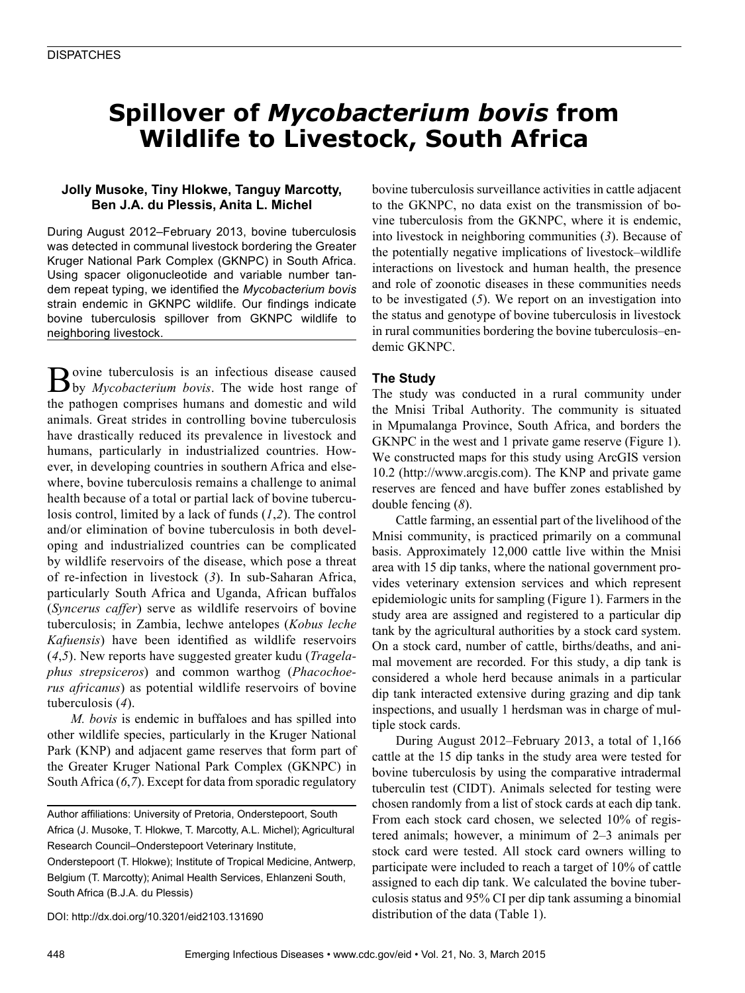# **Spillover of** *Mycobacterium bovis* **from Wildlife to Livestock, South Africa**

## **Jolly Musoke, Tiny Hlokwe, Tanguy Marcotty, Ben J.A. du Plessis, Anita L. Michel**

During August 2012–February 2013, bovine tuberculosis was detected in communal livestock bordering the Greater Kruger National Park Complex (GKNPC) in South Africa. Using spacer oligonucleotide and variable number tandem repeat typing, we identified the *Mycobacterium bovis* strain endemic in GKNPC wildlife. Our findings indicate bovine tuberculosis spillover from GKNPC wildlife to neighboring livestock.

**B**ovine tuberculosis is an infectious disease caused by *Mycobacterium bovis*. The wide host range of the pathogen comprises humans and domestic and wild animals. Great strides in controlling bovine tuberculosis have drastically reduced its prevalence in livestock and humans, particularly in industrialized countries. However, in developing countries in southern Africa and elsewhere, bovine tuberculosis remains a challenge to animal health because of a total or partial lack of bovine tuberculosis control, limited by a lack of funds (*1*,*2*). The control and/or elimination of bovine tuberculosis in both developing and industrialized countries can be complicated by wildlife reservoirs of the disease, which pose a threat of re-infection in livestock (*3*). In sub-Saharan Africa, particularly South Africa and Uganda, African buffalos (*Syncerus caffer*) serve as wildlife reservoirs of bovine tuberculosis; in Zambia, lechwe antelopes (*Kobus leche Kafuensis*) have been identified as wildlife reservoirs (*4*,*5*). New reports have suggested greater kudu (*Tragelaphus strepsiceros*) and common warthog (*Phacochoerus africanus*) as potential wildlife reservoirs of bovine tuberculosis (*4*).

*M. bovis* is endemic in buffaloes and has spilled into other wildlife species, particularly in the Kruger National Park (KNP) and adjacent game reserves that form part of the Greater Kruger National Park Complex (GKNPC) in South Africa (*6*,*7*). Except for data from sporadic regulatory

Author affiliations: University of Pretoria, Onderstepoort, South Africa (J. Musoke, T. Hlokwe, T. Marcotty, A.L. Michel); Agricultural Research Council–Onderstepoort Veterinary Institute,

Onderstepoort (T. Hlokwe); Institute of Tropical Medicine, Antwerp, Belgium (T. Marcotty); Animal Health Services, Ehlanzeni South, South Africa (B.J.A. du Plessis)

DOI: http://dx.doi.org/10.3201/eid2103.131690

bovine tuberculosis surveillance activities in cattle adjacent to the GKNPC, no data exist on the transmission of bovine tuberculosis from the GKNPC, where it is endemic, into livestock in neighboring communities (*3*). Because of the potentially negative implications of livestock–wildlife interactions on livestock and human health, the presence and role of zoonotic diseases in these communities needs to be investigated (*5*). We report on an investigation into the status and genotype of bovine tuberculosis in livestock in rural communities bordering the bovine tuberculosis–endemic GKNPC.

## **The Study**

The study was conducted in a rural community under the Mnisi Tribal Authority. The community is situated in Mpumalanga Province, South Africa, and borders the GKNPC in the west and 1 private game reserve (Figure 1). We constructed maps for this study using ArcGIS version 10.2 (http://www.arcgis.com). The KNP and private game reserves are fenced and have buffer zones established by double fencing (*8*).

Cattle farming, an essential part of the livelihood of the Mnisi community, is practiced primarily on a communal basis. Approximately 12,000 cattle live within the Mnisi area with 15 dip tanks, where the national government provides veterinary extension services and which represent epidemiologic units for sampling (Figure 1). Farmers in the study area are assigned and registered to a particular dip tank by the agricultural authorities by a stock card system. On a stock card, number of cattle, births/deaths, and animal movement are recorded. For this study, a dip tank is considered a whole herd because animals in a particular dip tank interacted extensive during grazing and dip tank inspections, and usually 1 herdsman was in charge of multiple stock cards.

During August 2012–February 2013, a total of 1,166 cattle at the 15 dip tanks in the study area were tested for bovine tuberculosis by using the comparative intradermal tuberculin test (CIDT). Animals selected for testing were chosen randomly from a list of stock cards at each dip tank. From each stock card chosen, we selected 10% of registered animals; however, a minimum of 2–3 animals per stock card were tested. All stock card owners willing to participate were included to reach a target of 10% of cattle assigned to each dip tank. We calculated the bovine tuberculosis status and 95% CI per dip tank assuming a binomial distribution of the data (Table 1).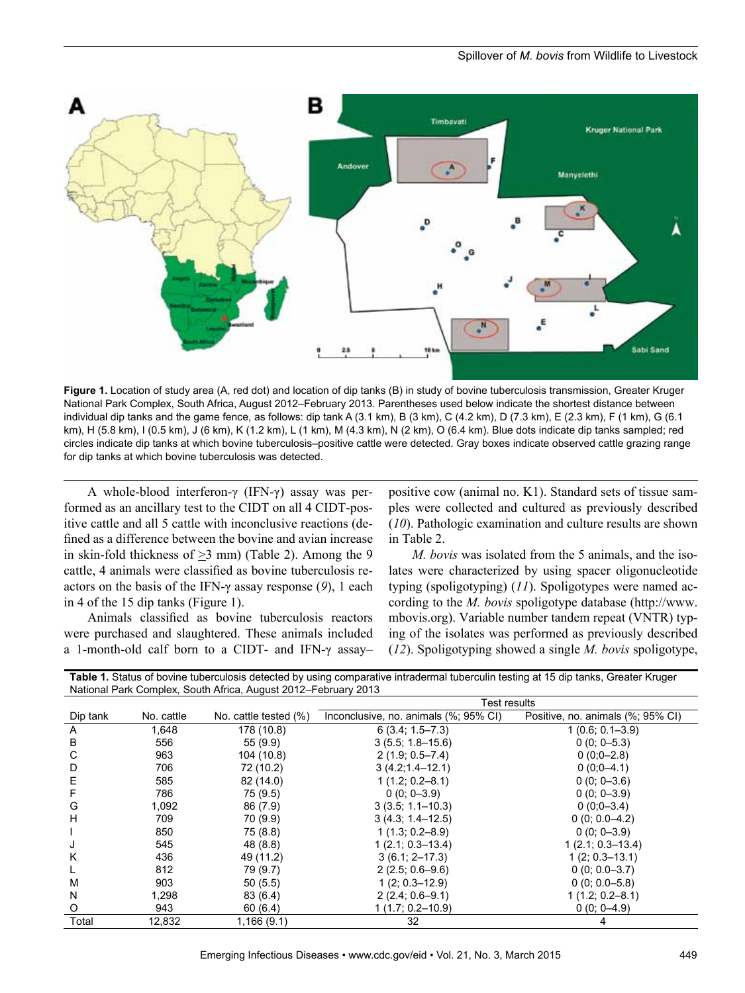### Spillover of *M. bovis* from Wildlife to Livestock



**Figure 1.** Location of study area (A, red dot) and location of dip tanks (B) in study of bovine tuberculosis transmission, Greater Kruger National Park Complex, South Africa, August 2012–February 2013. Parentheses used below indicate the shortest distance between individual dip tanks and the game fence, as follows: dip tank A (3.1 km), B (3 km), C (4.2 km), D (7.3 km), E (2.3 km), F (1 km), G (6.1 km), H (5.8 km), I (0.5 km), J (6 km), K (1.2 km), L (1 km), M (4.3 km), N (2 km), O (6.4 km). Blue dots indicate dip tanks sampled; red circles indicate dip tanks at which bovine tuberculosis–positive cattle were detected. Gray boxes indicate observed cattle grazing range for dip tanks at which bovine tuberculosis was detected.

A whole-blood interferon-γ (IFN-γ) assay was performed as an ancillary test to the CIDT on all 4 CIDT-positive cattle and all 5 cattle with inconclusive reactions (defined as a difference between the bovine and avian increase in skin-fold thickness of  $\geq$ 3 mm) (Table 2). Among the 9 cattle, 4 animals were classified as bovine tuberculosis reactors on the basis of the IFN-γ assay response (*9*), 1 each in 4 of the 15 dip tanks (Figure 1).

Animals classified as bovine tuberculosis reactors were purchased and slaughtered. These animals included a 1-month-old calf born to a CIDT- and IFN-γ assay–

positive cow (animal no. K1). Standard sets of tissue samples were collected and cultured as previously described (*10*). Pathologic examination and culture results are shown in Table 2.

*M. bovis* was isolated from the 5 animals, and the isolates were characterized by using spacer oligonucleotide typing (spoligotyping) (*11*). Spoligotypes were named according to the *M. bovis* spoligotype database (http://www. mbovis.org). Variable number tandem repeat (VNTR) typing of the isolates was performed as previously described (*12*). Spoligotyping showed a single *M. bovis* spoligotype,

|                                                                | Table 1. Status of bovine tuberculosis detected by using comparative intradermal tuberculin testing at 15 dip tanks, Greater Kruger |
|----------------------------------------------------------------|-------------------------------------------------------------------------------------------------------------------------------------|
| National Park Complex, South Africa, August 2012–February 2013 |                                                                                                                                     |

|          |            |                       | Test results                          |                                   |  |  |  |  |  |  |
|----------|------------|-----------------------|---------------------------------------|-----------------------------------|--|--|--|--|--|--|
| Dip tank | No. cattle | No. cattle tested (%) | Inconclusive, no. animals (%; 95% CI) | Positive, no. animals (%; 95% CI) |  |  |  |  |  |  |
| A        | 1,648      | 178 (10.8)            | $6(3.4; 1.5 - 7.3)$                   | $1(0.6; 0.1 - 3.9)$               |  |  |  |  |  |  |
| в        | 556        | 55(9.9)               | $3(5.5; 1.8 - 15.6)$                  | $0(0; 0-5.3)$                     |  |  |  |  |  |  |
| С        | 963        | 104 (10.8)            | $2(1.9; 0.5 - 7.4)$                   | $0(0:0-2.8)$                      |  |  |  |  |  |  |
| D        | 706        | 72 (10.2)             | $3(4.2; 1.4 - 12.1)$                  | $0(0:0-4.1)$                      |  |  |  |  |  |  |
| E        | 585        | 82 (14.0)             | $1(1.2; 0.2 - 8.1)$                   | $0(0; 0-3.6)$                     |  |  |  |  |  |  |
| F        | 786        | 75 (9.5)              | $0(0; 0-3.9)$                         | $0(0; 0-3.9)$                     |  |  |  |  |  |  |
| G        | 1,092      | 86 (7.9)              | $3(3.5; 1.1 - 10.3)$                  | $0(0;0-3.4)$                      |  |  |  |  |  |  |
| н        | 709        | 70 (9.9)              | $3(4.3; 1.4 - 12.5)$                  | $0(0; 0.0-4.2)$                   |  |  |  |  |  |  |
|          | 850        | 75 (8.8)              | $1(1.3; 0.2 - 8.9)$                   | $0(0; 0-3.9)$                     |  |  |  |  |  |  |
| J        | 545        | 48 (8.8)              | $1(2.1; 0.3 - 13.4)$                  | $1(2.1; 0.3-13.4)$                |  |  |  |  |  |  |
| Κ        | 436        | 49 (11.2)             | $3(6.1; 2 - 17.3)$                    | $1(2; 0.3 - 13.1)$                |  |  |  |  |  |  |
|          | 812        | 79 (9.7)              | $2(2.5; 0.6 - 9.6)$                   | $0(0; 0.0 - 3.7)$                 |  |  |  |  |  |  |
| M        | 903        | 50(5.5)               | $1(2; 0.3 - 12.9)$                    | $0(0; 0.0 - 5.8)$                 |  |  |  |  |  |  |
| N        | 1,298      | 83 (6.4)              | $2(2.4; 0.6 - 9.1)$                   | $1(1.2; 0.2 - 8.1)$               |  |  |  |  |  |  |
| O        | 943        | 60(6.4)               | $1(1.7; 0.2 - 10.9)$                  | $0(0; 0-4.9)$                     |  |  |  |  |  |  |
| Total    | 12,832     | 1,166(9.1)            | 32                                    |                                   |  |  |  |  |  |  |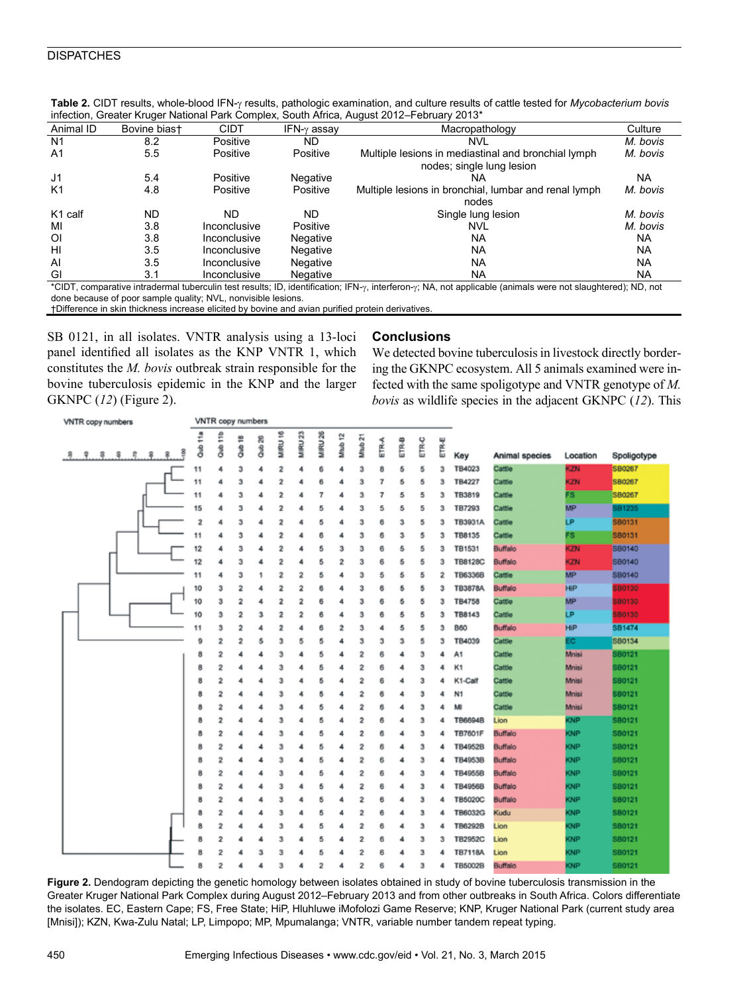| Animal ID                                                                                                                                                                     | Bovine biast | <b>CIDT</b>  | IFN- $\gamma$ assay | Macropathology                                                                   | Culture   |  |  |  |
|-------------------------------------------------------------------------------------------------------------------------------------------------------------------------------|--------------|--------------|---------------------|----------------------------------------------------------------------------------|-----------|--|--|--|
| N <sub>1</sub>                                                                                                                                                                | 8.2          | Positive     | ND.                 | NVL                                                                              | M. bovis  |  |  |  |
| A <sub>1</sub>                                                                                                                                                                | 5.5          | Positive     | Positive            | Multiple lesions in mediastinal and bronchial lymph<br>nodes; single lung lesion | M. bovis  |  |  |  |
| J <sub>1</sub>                                                                                                                                                                | 5.4          | Positive     | Negative            | NA                                                                               | NA        |  |  |  |
| K1                                                                                                                                                                            | 4.8          | Positive     | Positive            | Multiple lesions in bronchial, lumbar and renal lymph                            | M. bovis  |  |  |  |
|                                                                                                                                                                               |              |              |                     | nodes                                                                            |           |  |  |  |
| K <sub>1</sub> calf                                                                                                                                                           | <b>ND</b>    | ND           | <b>ND</b>           | Single lung lesion                                                               | M. bovis  |  |  |  |
| MI                                                                                                                                                                            | 3.8          | Inconclusive | Positive            | <b>NVL</b>                                                                       | M. bovis  |  |  |  |
| ΟI                                                                                                                                                                            | 3.8          | Inconclusive | Negative            | NA                                                                               | NA        |  |  |  |
| HI                                                                                                                                                                            | 3.5          | Inconclusive | Negative            | <b>NA</b>                                                                        | <b>NA</b> |  |  |  |
| Al                                                                                                                                                                            | 3.5          | Inconclusive | Negative            | <b>NA</b>                                                                        | NA        |  |  |  |
| GI                                                                                                                                                                            | 3.1          | Inconclusive | Negative            | <b>NA</b>                                                                        | NA        |  |  |  |
| *CIDT, comparative intradermal tuberculin test results; ID, identification; IFN- $\gamma$ , interferon- $\gamma$ ; NA, not applicable (animals were not slaughtered); ND, not |              |              |                     |                                                                                  |           |  |  |  |

Table 2. CIDT results, whole-blood IFN- $\gamma$  results, pathologic examination, and culture results of cattle tested for *Mycobacterium bovis* infection, Greater Kruger National Park Complex, South Africa, August 2012–February 2013\*

\*CIDT, comparative intradermal tuberculin test results; ID, identification; IFN-y, interferon-y; NA, not applicable (animals were not slaughtered); ND, not done because of poor sample quality; NVL, nonvisible lesions.

†Difference in skin thickness increase elicited by bovine and avian purified protein derivatives

SB 0121, in all isolates. VNTR analysis using a 13-loci panel identified all isolates as the KNP VNTR 1, which constitutes the *M. bovis* outbreak strain responsible for the bovine tuberculosis epidemic in the KNP and the larger GKNPC (*12*) (Figure 2).

## **Conclusions**

We detected bovine tuberculosis in livestock directly bordering the GKNPC ecosystem. All 5 animals examined were infected with the same spoligotype and VNTR genotype of *M. bovis* as wildlife species in the adjacent GKNPC (*12*). This

| VNTR copy numbers                      |        | VNTR copy numbers       |        |                   |                         |                    |                |                    |                    |             |       |                  |       |                |                |            |               |
|----------------------------------------|--------|-------------------------|--------|-------------------|-------------------------|--------------------|----------------|--------------------|--------------------|-------------|-------|------------------|-------|----------------|----------------|------------|---------------|
| 용<br>.운<br>$\cdot$ 8<br>. 8<br>9.9.8.8 | ÷<br>å | Què 11b                 | ₽<br>å | Qub <sub>26</sub> | MIRU 16                 | MIRU <sub>23</sub> | MIRU 26        | Mtub <sub>12</sub> | Mtub <sub>21</sub> | <b>ETRA</b> | ETR-8 | ETR <sub>C</sub> | ETR∗E | Key            | Animal species | Location   | Spoligotype   |
|                                        | 11     | 4                       | з      | 4                 | 2                       | 4                  | 6              | 4                  | з                  | 8           | 5     | 5                | з     | TB4023         | Cattle         | <b>KZN</b> | SB0267        |
|                                        | 11     | 4                       | 3      | 4                 | 2                       | 4                  | 6              | 4                  | 3                  | 7           | 5     | 5                | 3     | TB4227         | Cattle         | KZN        | SB0267        |
|                                        | 11     | 4                       | з      | 4                 | $\overline{\mathbf{2}}$ | 4                  | 7              | 4                  | 3                  | 7           | 5     | 5                | з     | <b>TB3819</b>  | Cattle         | FS.        | SB0267        |
|                                        | 15     | 4                       | 3      | 4                 | $\overline{2}$          | 4                  | 5              | 4                  | 3                  | 5           | 5     | 5                | з     | TB7293         | Cattle         | <b>MP</b>  | SB1235        |
|                                        | 2      | 4                       | з      | 4                 | 2                       | 4                  | 5              | 4                  | з                  | 6           | з     | 5                | з     | TB3931A        | Cattle         | <b>LP</b>  | <b>SB0131</b> |
|                                        | 11     |                         | з      | 4                 | 2                       | 4                  | 6              | 4                  | з                  | 6           | з     | 5                | з     | TB8135         | Cattle         | FS.        | SB0131        |
|                                        | 12     | 4                       | з      | 4                 | 2                       | 4                  | 5              | 3                  | з                  | 6           | 5     | 5                | з     | <b>TB1531</b>  | Buffalo        | <b>KZN</b> | SB0140        |
|                                        | 12     | 4                       | з      | 4                 | 2                       | 4                  | 5              | 2                  | з                  | 6           | 5     | 5                | з     | <b>TB8128C</b> | Buffalo        | <b>KZN</b> | SB0140        |
|                                        | 11     | 4                       | з      | 1                 | 2                       | 2                  | 5              | 4                  | з                  | 5           | 5     | 5                | 2     | TB6336B        | Cattle         | <b>MP</b>  | SB0140        |
|                                        | 10     | з                       | 2      | 4                 | 2                       | 2                  | 6              | 4                  | з                  | 6           | 5     | 5                | з     | <b>TB3878A</b> | Buffalo        | <b>HIP</b> | 680130        |
|                                        | 10     | 3                       | 2      | 4                 | 2                       | 2                  | 6              | 4                  | з                  | 6           | 5     | 5                | з     | TB4758         | Cattle         | <b>MP</b>  | 580130        |
|                                        | 10     | з                       | 2      | з                 | 2                       | 2                  | 6              | 4                  | 3                  | 6           | 5     | 5                | з     | TB8143         | Cattle         | LP         | 680130        |
|                                        | 11     | з                       | 2      | 4                 | 2                       | 4                  | 6              | 2                  | з                  | 4           | 5     | 5                | з     | <b>B60</b>     | <b>Buffalo</b> | <b>HIP</b> | SB1474        |
|                                        | 9      | 2                       | 2      | 5                 | 3                       | 5                  | 5              | 4                  | з                  | з           | 3     | 5                | з     | TB4039         | Cattle         | EC.        | SB0134        |
|                                        | 8      | 2                       | 4      | 4                 | 3                       | 4                  | 5              | 4                  | 2                  | 6           | 4     | 3                | 4     | A1             | Cattle         | Mnisi      | SB0121        |
|                                        | 8      | 2                       | 4      | 4                 | 3                       | 4                  | 5              | 4                  | 2                  | 6           | 4     | з                | 4     | K1             | Cattle         | Mnisi      | SB0121        |
|                                        | 8      | 2                       | 4      | 4                 | 3                       | 4                  | 5              | 4                  | 2                  | 6           | 4     | 3                | 4     | K1-Calf        | Cattle         | Mnisi      | SB0121        |
|                                        | 8      | 2                       | 4      | 4                 | 3                       | 4                  | 5              | 4                  | 2                  | 6           | 4     | 3                | 4     | N1             | Cattle         | Mnisi      | SB0121        |
|                                        | 8      | 2                       | 4      | 4                 | з                       | 4                  | 5              | 4                  | 2                  | 6           | 4     | 3                | 4     | м              | Cattle         | Mnisi      | SB0121        |
|                                        | 8      | 2                       | a      | 4                 | 3                       | 4                  | 5              | 4                  | 2                  | 6           | 4     | 3                | 4     | <b>TB6694B</b> | Lion           | KNP        | SB0121        |
|                                        | 8      | 2                       | 4      | 4                 | 3                       | 4                  | 5              | 4                  | 2                  | 6           | 4     | 3                | 4     | <b>TB7601F</b> | Buffalo        | KNP        | SB0121        |
|                                        | 8      | 2                       | 4      | 4                 | 3                       | 4                  | 5              | 4                  | 2                  | 6           | 4     | 3                | 4     | TB4952B        | Buffalo        | <b>KNP</b> | SB0121        |
|                                        | 8      | $\overline{\mathbf{2}}$ | ◢      | 4                 | 3                       | 4                  | 5              | 4                  | 2                  | 6           | 4     | 3                | 4     | TB4953B        | Buffalo        | <b>KNP</b> | SB0121        |
|                                        | 8      | 2                       | 4      | 4                 | 3                       | 4                  | 5              | 4                  | 2                  | 6           | 4     | 3                | 4     | TB4955B        | Buffalo        | <b>KNP</b> | SB0121        |
|                                        | 8      | 2                       | 4      | 4                 | 3                       | 4                  | 5              | 4                  | 2                  | 6           | 4     | 3                | л     | TB4956B        | Buffalo        | KNP        | SB0121        |
|                                        | 8      | 2                       | a      | 4                 | 3                       | 4                  | 5              | 4                  | 2                  | 6           | 4     | 3                | а     | TB5020C        | Buffalo        | KNP        | SB0121        |
|                                        | 8      | 2                       | A      | 4                 | 3                       | 4                  | 5              | 4                  | 2                  | 6           | 4     | 3                | 4     | TB6032G        | Kudu           | KNP        | SB0121        |
|                                        | 8      | 2                       | 4      | 4                 | 3                       | 4                  | 5              | 4                  | 2                  | 6           | 4     | 3                | 4     | TB6292B        | Lion           | KNP        | <b>SB0121</b> |
|                                        | 8      | 2                       | 4      | 4                 | 3                       | 4                  | 5              | 4                  | 2                  | 6           | 4     | 3                | 3     | TB2952C        | Lion           | KNP        | SB0121        |
|                                        | 8      | $\overline{2}$          |        | 3                 | 3                       | 4                  | 5              | 4                  | 2                  | 6           |       | 3                | 4     | <b>TB7118A</b> | Lion           | KNP        | SB0121        |
|                                        | 8      | 2                       | 4      | 4                 | 3                       | 4                  | $\overline{2}$ | 4                  | 2                  | 6           | 4     | 3                | 4     | TB5002B        | Buffalo        | KNP        | SB0121        |

**Figure 2.** Dendogram depicting the genetic homology between isolates obtained in study of bovine tuberculosis transmission in the Greater Kruger National Park Complex during August 2012–February 2013 and from other outbreaks in South Africa. Colors differentiate the isolates. EC, Eastern Cape; FS, Free State; HiP, Hluhluwe iMofolozi Game Reserve; KNP, Kruger National Park (current study area [Mnisi]); KZN, Kwa-Zulu Natal; LP, Limpopo; MP, Mpumalanga; VNTR, variable number tandem repeat typing.